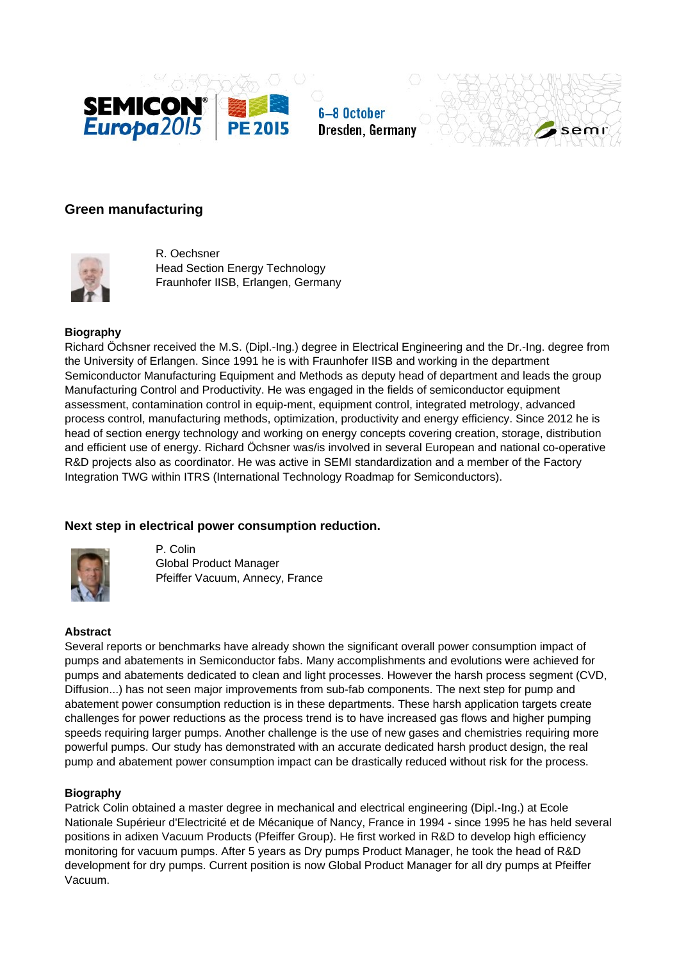





# **Green manufacturing**



R. Oechsner Head Section Energy Technology Fraunhofer IISB, Erlangen, Germany

## **Biography**

Richard Öchsner received the M.S. (Dipl.-Ing.) degree in Electrical Engineering and the Dr.-Ing. degree from the University of Erlangen. Since 1991 he is with Fraunhofer IISB and working in the department Semiconductor Manufacturing Equipment and Methods as deputy head of department and leads the group Manufacturing Control and Productivity. He was engaged in the fields of semiconductor equipment assessment, contamination control in equip-ment, equipment control, integrated metrology, advanced process control, manufacturing methods, optimization, productivity and energy efficiency. Since 2012 he is head of section energy technology and working on energy concepts covering creation, storage, distribution and efficient use of energy. Richard Öchsner was/is involved in several European and national co-operative R&D projects also as coordinator. He was active in SEMI standardization and a member of the Factory Integration TWG within ITRS (International Technology Roadmap for Semiconductors).

# **Next step in electrical power consumption reduction.**



P. Colin Global Product Manager Pfeiffer Vacuum, Annecy, France

## **Abstract**

Several reports or benchmarks have already shown the significant overall power consumption impact of pumps and abatements in Semiconductor fabs. Many accomplishments and evolutions were achieved for pumps and abatements dedicated to clean and light processes. However the harsh process segment (CVD, Diffusion...) has not seen major improvements from sub-fab components. The next step for pump and abatement power consumption reduction is in these departments. These harsh application targets create challenges for power reductions as the process trend is to have increased gas flows and higher pumping speeds requiring larger pumps. Another challenge is the use of new gases and chemistries requiring more powerful pumps. Our study has demonstrated with an accurate dedicated harsh product design, the real pump and abatement power consumption impact can be drastically reduced without risk for the process.

### **Biography**

Patrick Colin obtained a master degree in mechanical and electrical engineering (Dipl.-Ing.) at Ecole Nationale Supérieur d'Electricité et de Mécanique of Nancy, France in 1994 - since 1995 he has held several positions in adixen Vacuum Products (Pfeiffer Group). He first worked in R&D to develop high efficiency monitoring for vacuum pumps. After 5 years as Dry pumps Product Manager, he took the head of R&D development for dry pumps. Current position is now Global Product Manager for all dry pumps at Pfeiffer Vacuum.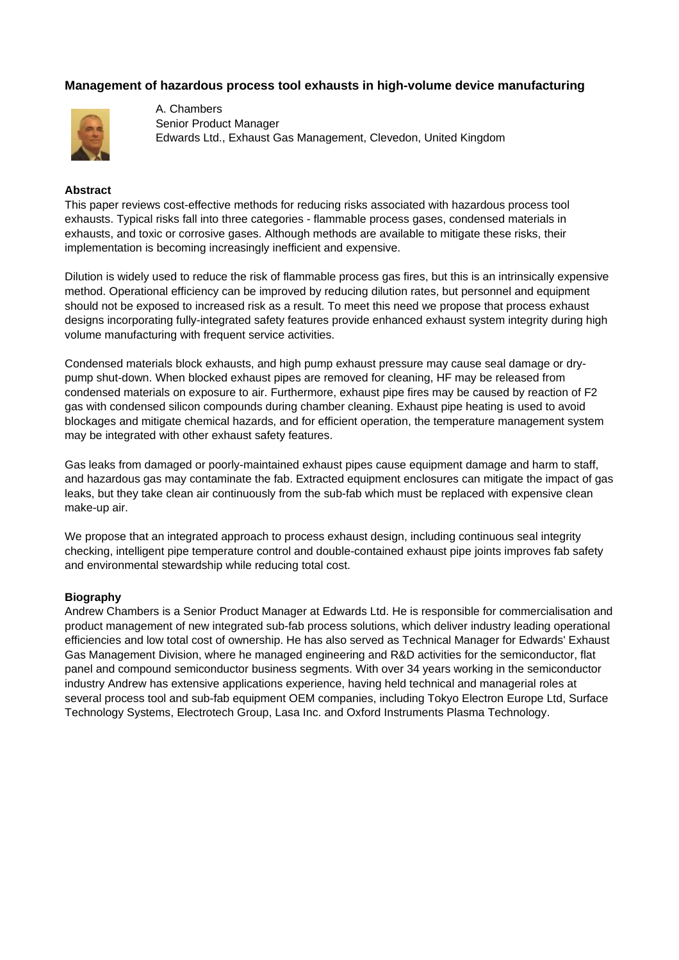# **Management of hazardous process tool exhausts in high-volume device manufacturing**



A. Chambers Senior Product Manager Edwards Ltd., Exhaust Gas Management, Clevedon, United Kingdom

#### **Abstract**

This paper reviews cost-effective methods for reducing risks associated with hazardous process tool exhausts. Typical risks fall into three categories - flammable process gases, condensed materials in exhausts, and toxic or corrosive gases. Although methods are available to mitigate these risks, their implementation is becoming increasingly inefficient and expensive.

Dilution is widely used to reduce the risk of flammable process gas fires, but this is an intrinsically expensive method. Operational efficiency can be improved by reducing dilution rates, but personnel and equipment should not be exposed to increased risk as a result. To meet this need we propose that process exhaust designs incorporating fully-integrated safety features provide enhanced exhaust system integrity during high volume manufacturing with frequent service activities.

Condensed materials block exhausts, and high pump exhaust pressure may cause seal damage or drypump shut-down. When blocked exhaust pipes are removed for cleaning, HF may be released from condensed materials on exposure to air. Furthermore, exhaust pipe fires may be caused by reaction of F2 gas with condensed silicon compounds during chamber cleaning. Exhaust pipe heating is used to avoid blockages and mitigate chemical hazards, and for efficient operation, the temperature management system may be integrated with other exhaust safety features.

Gas leaks from damaged or poorly-maintained exhaust pipes cause equipment damage and harm to staff, and hazardous gas may contaminate the fab. Extracted equipment enclosures can mitigate the impact of gas leaks, but they take clean air continuously from the sub-fab which must be replaced with expensive clean make-up air.

We propose that an integrated approach to process exhaust design, including continuous seal integrity checking, intelligent pipe temperature control and double-contained exhaust pipe joints improves fab safety and environmental stewardship while reducing total cost.

#### **Biography**

Andrew Chambers is a Senior Product Manager at Edwards Ltd. He is responsible for commercialisation and product management of new integrated sub-fab process solutions, which deliver industry leading operational efficiencies and low total cost of ownership. He has also served as Technical Manager for Edwards' Exhaust Gas Management Division, where he managed engineering and R&D activities for the semiconductor, flat panel and compound semiconductor business segments. With over 34 years working in the semiconductor industry Andrew has extensive applications experience, having held technical and managerial roles at several process tool and sub-fab equipment OEM companies, including Tokyo Electron Europe Ltd, Surface Technology Systems, Electrotech Group, Lasa Inc. and Oxford Instruments Plasma Technology.